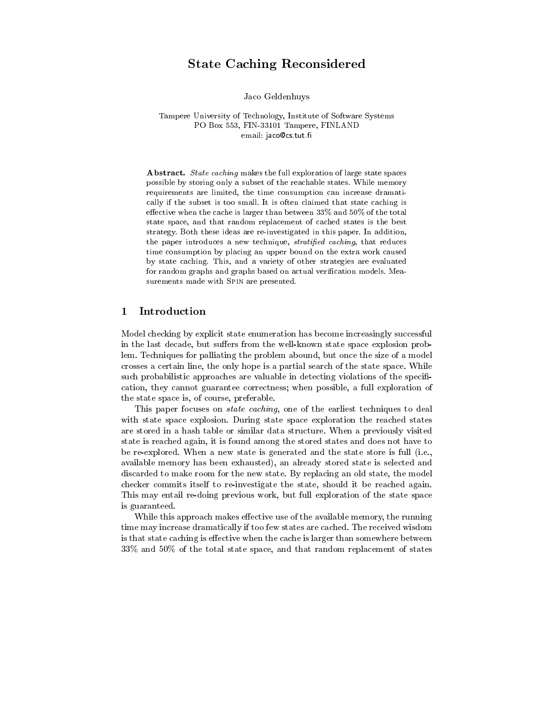# State Caching Reconsidered

Jaco Geldenhuys

Tampere University of Technology, Institute of Software Systems PO Box 553, FIN-33101 Tampere, FINLAND email: jaco@cs.tut.fi

Abstract. State caching makes the full exploration of large state spaces possible by storing only a subset of the reachable states. While memory requirements are limited, the time consumption can increase dramatically if the subset is too small. It is often claimed that state caching is effective when the cache is larger than between  $33\%$  and  $50\%$  of the total state space, and that random replacement of cached states is the best strategy. Both these ideas are re-investigated in this paper. In addition, the paper introduces a new technique, *stratified caching*, that reduces time consumption by placing an upper bound on the extra work caused by state caching. This, and a variety of other strategies are evaluated for random graphs and graphs based on actual verification models. Measurements made with Spin are presented.

#### **Introduction** 1

Model checking by explicit state enumeration has become increasingly successful in the last decade, but suffers from the well-known state space explosion problem. Techniques for palliating the problem abound, but once the size of a model crosses a certain line, the only hope is a partial search of the state space. While such probabilistic approaches are valuable in detecting violations of the specification, they cannot guarantee correctness; when possible, a full exploration of the state space is, of course, preferable.

This paper focuses on *state caching*, one of the earliest techniques to deal with state space explosion. During state space exploration the reached states are stored in a hash table or similar data structure. When a previously visited state is reached again, it is found among the stored states and does not have to be re-explored. When a new state is generated and the state store is full (i.e., available memory has been exhausted), an already stored state is selected and discarded to make room for the new state. By replacing an old state, the model checker commits itself to re-investigate the state, should it be reached again. This may entail re-doing previous work, but fullexploration of the state space is guaranteed.

While this approach makes effective use of the available memory, the running time may increase dramatically if too few states arecached. The received wisdom is that state caching is effective when the cache is larger than somewhere between 33% and 50% of the total state space, and that random replacement of states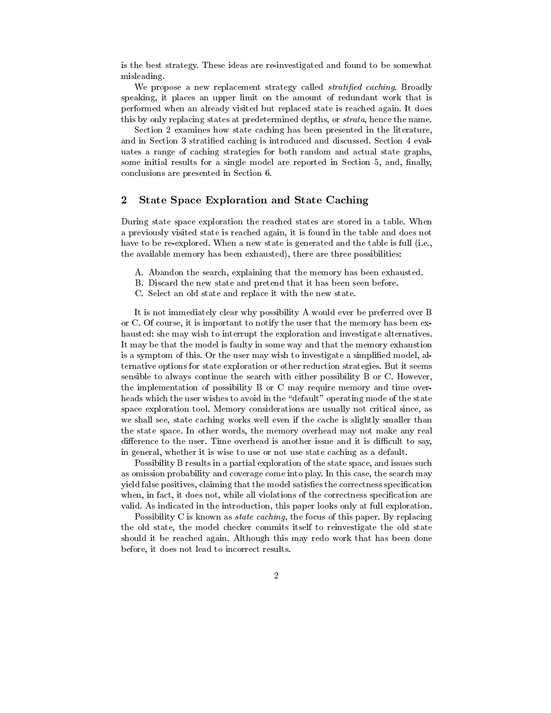is the best strategy. These ideas are re-investigated and found to be somewhat misleading. misleading.

We propose a new replacement strategy called *stratified caching*. Broadly speaking, it places an upper limit on the amount of redundant work that is performed when an already visited but replaced state is reached again. It does this by only replacing states at predetermined depths, or *strata*, hence the name.

Section 2 examines how state caching has been presented in the literature, and in Section 3 stratified caching is introduced and discussed. Section 4 evaluates a range of caching strategies for both random and actual state graphs, some initial results for a single model are reported in Section 5, and, finally, conclusions are presented in Section 6.

### 2 State Space Exploration and State Caching

During state space exploration the reached states are stored in a table. When a previously visited state is reached again, it is found in the table and does not have to be re-explored. When a new state is generated and the table is full (i.e., the available memory has been exhausted), there are three possibilities:

- A. Abandon the search, explaining that the memory has been exhausted.
- B. Discard the new state and pretend that it has been seen before.
- C. Select an old state and replace it with thenew state.

It is not immediately clear why possibility A would ever be preferred over B or C. Of course, it is important to notify the user that the memory has been exhausted: she may wish to interrupt the exploration and investigate alternatives. It may bethat the model is faulty in some way and that the memory exhaustion is a symptom of this. Or the user may wish to investigate a simplied model, alternative options for state exploration or other reduction strategies. But it seems sensible to always continue the search with either possibility B or C. However, the implementation of possibility B or C may require memory and time overheads which the user wishes to avoid in the "default" operating mode of the state space exploration tool. Memory considerations are usually not critical since, as we shall see, state caching works well even if the cache is slightly smaller than the state space. In other words, the memory overhead may not make any real difference to the user. Time overhead is another issue and it is difficult to say, in general, whether it is wise to use or not use state caching as a default.

Possibility B results in a partial exploration of the state space, and issues such as omission probability and coverage come into play. In this case, the search may yield false positives, claiming that the model satisfies the correctness specification when, in fact, it does not, while all violations of the correctness specification are valid. As indicated in the introduction, this paper looks only at full exploration.

Possibility C is known as state caching, the focus of this paper. By replacing the old state, the model checker commits itself to reinvestigate the old state should it be reached again. Although this may redo work that has been done before, it does not lead to incorrect results.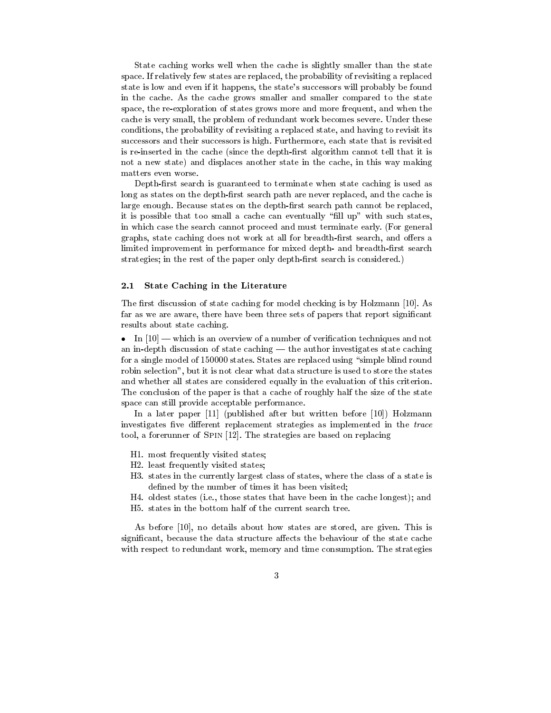State caching works well when the cache is slightly smaller than the state space. If relatively few states arereplaced, the probability of revisiting a replaced state is low and even if it happens, the state's successors will probably be found in the cache. As the cache grows smaller and smaller compared to the state space, the re-exploration of states grows more and more frequent, and when the cache is very small, the problem of redundant work becomes severe. Under these conditions, the probability of revisiting a replaced state, and having to revisit its successors and their successors is high. Furthermore, each state that is revisited is re-inserted in the cache (since the depth-first algorithm cannot tell that it is not a new state) and displaces another state in thecache, in this way making matters even worse.

Depth-first search is guaranteed to terminate when state caching is used as long as states on the depth-first search path are never replaced, and the cache is large enough. Because states on the depth-first search path cannot be replaced, it is possible that too small a cache can eventually "fill up" with such states, in which case the search cannot proceed and must terminate early.(For general graphs, state caching does not work at all for breadth-first search, and offers a limited improvement in performance for mixed depth- and breadth-first search strategies; in the rest of the paper only depth-first search is considered.)

#### 2.1 State Caching in the Literature

The first discussion of state caching for model checking is by Holzmann [10]. As far as we are aware, there have been three sets of papers that report significant results about state caching.

 $\bullet$  In  $[10]$  — which is an overview of a number of verification techniques and not an in-depth discussion of state caching  $-$  the author investigates state caching for a single model of 150000 states. States are replaced using "simple blind round robin selection", but it is not clear what data structure is used to store the states and whether all states are considered equally in the evaluation of this criterion. The conclusion of the paper is that a cache of roughly half the size of the state space can still provide acceptable performance.

In a later paper [11] (published after but written before [10]) Holzmann investigates five different replacement strategies as implemented in the trace tool, a forerunner of Spin [12]. The strategies are based on replacing

- H1. most frequently visited states;
- H2. least frequently visited states;
- H3. states in thecurrently largest class of states, where the class of a state is defined by the number of times it has been visited;
- H4. oldest states (i.e., those states that have been in thecache longest); and
- H5. states in the bottom half of the current search tree.

As before [10], no details about how states are stored, are given. This is significant, because the data structure affects the behaviour of the state cache with respect to redundant work, memory and time consumption. The strategies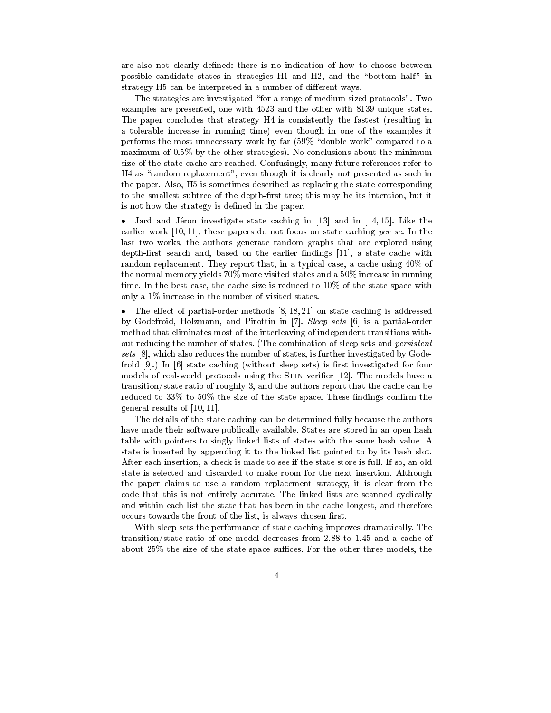are also not clearly defined: there is no indication of how to choose between possible candidate states in strategies H1 and H2, and the \bottom half" in strategy H<sub>5</sub> can be interpreted in a number of different ways.

The strategies are investigated "for a range of medium sized protocols". Two examples are presented, one with 4523 and the other with 8139 unique states. The paper concludes that strategy H4 is consistently the fastest (resulting in a tolerable increase in running time) even though in one of the examples it performs the most unnecessary work by far  $(59\%$  "double work" compared to a maximum of 0.5% by the other strategies). No conclusions about the minimum size of the state cache are reached. Confusingly, many future references refer to H4 as "random replacement", even though it is clearly not presented as such in the paper. Also, H5 is sometimes described as replacing the state corresponding to the smallest subtree of the depth-first tree; this may be its intention, but it is not how the strategy is defined in the paper.

• Jard and Jéron investigate state caching in [13] and in [14, 15]. Like the earlier work  $[10, 11]$ , these papers do not focus on state caching per se. In the last two works, the authors generate random graphs that are explored using depth-first search and, based on the earlier findings  $[11]$ , a state cache with random replacement. They report that, in a typical case, a cache using  $40\%$  of the normal memory yields 70% more visited states and a 50% increase in running time. In the best case, the cache size is reduced to  $10\%$  of the state space with only a  $1\%$  increase in the number of visited states.

• The effect of partial-order methods  $[8, 18, 21]$  on state caching is addressed by Godefroid, Holzmann, and Pirottin in [7]. Sleep sets [6] is a partial-order method that eliminates most of the interleaving of independent transitions without reducing the number of states. (The combination of sleep sets and persistent sets [8], which also reduces the number of states, is further investigated by Godefroid  $[9]$ .) In  $[6]$  state caching (without sleep sets) is first investigated for four models of real-world protocols using the SPIN verifier [12]. The models have a transition/state ratio of roughly 3, and the authors report that the cache can be reduced to  $33\%$  to  $50\%$  the size of the state space. These findings confirm the general results of [10, 11].

The details of the state caching can be determined fully because the authors have made their software publically available. States are stored in an open hash table with pointers to singly linked lists of states with the same hash value. A state is inserted by appending it to the linked list pointed to by its hash slot. After each insertion, a check is made to see if the state store is full. If so, an old state is selected and discarded to make room for the next insertion. Although the paper claims to use a random replacement strategy, it is clear from the code that this is not entirely accurate. The linked lists are scanned cyclically and within each list the state that has been in thecache longest, and therefore occurs towards the front of the list, is always chosen first.

With sleep sets the performance of state caching improves dramatically. The transition/state ratio of one model decreases from 2.88 to 1.45 and a cache of about  $25\%$  the size of the state space suffices. For the other three models, the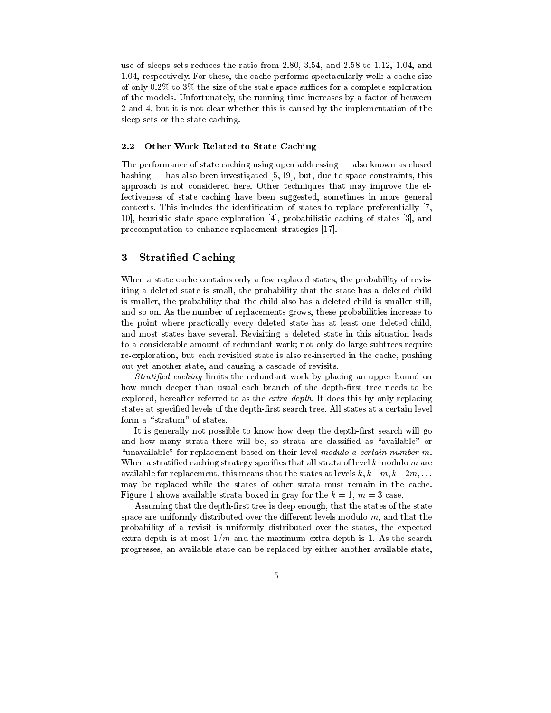use of sleeps sets reduces the ratio from  $2.80, 3.54,$  and  $2.58$  to 1.12, 1.04, and 1:04, respectively. For these, the cache performs spectacularly well: a cache size of only  $0.2\%$  to  $3\%$  the size of the state space suffices for a complete exploration of the models. Unfortunately, the running time increases by a factor of between 2 and 4, but it is not clear whether this is caused by the implementation of the sleep sets or the state caching.

#### $2.2$ Other Work Related to State Caching

The performance of state caching using open addressing  $-$  also known as closed hashing  $-$  has also been investigated [5, 19], but, due to space constraints, this approach is not considered here. Other techniques that may improve the effectiveness of state caching have been suggested, sometimes in more general contexts. This includes the identification of states to replace preferentially [7, 10], heuristic state space exploration [4], probabilistic caching of states [3], and precomputation to enhance replacement strategies [17].

# 3 Stratied Caching

When a state cache contains only a few replaced states, the probability of revisiting a deleted state is small, the probability that the state has a deleted child is smaller, the probability that the child also has a deleted child is smaller still, and so on. As the number of replacements grows, these probabilities increase to the point where practically every deleted state has at least one deleted child, and most states have several. Revisiting a deleted state in this situation leads to a considerable amount of redundant work; not only do large subtrees require re-exploration, but each revisited state is also re-inserted in the cache, pushing out yet another state, and causing a cascade of revisits.

Stratied caching limits the redundant work by placing an upper bound on how much deeper than usual each branch of the depth-first tree needs to be explored, hereafter referred to as the extra depth. It does this by only replacing states at specified levels of the depth-first search tree. All states at a certain level form a "stratum" of states.

It is generally not possible to know how deep the depth-first search will go and how many strata there will be, so strata are classified as "available" or "unavailable" for replacement based on their level modulo a certain number  $m$ . When a stratified caching strategy specifies that all strata of level  $k$  modulo  $m$  are available for replacement, this means that the states at levels  $k, k+m, k+2m, \ldots$ may be replaced while the states of other strata must remain in the cache. Figure 1 shows available strata boxed in gray for the  $k = 1$ ,  $m = 3$  case.

Assuming that the depth-first tree is deep enough, that the states of the state space are uniformly distributed over the different levels modulo  $m$ , and that the probability of a revisit is uniformly distributed over the states, the expected extra depth is at most  $1/m$  and the maximum extra depth is 1. As the search progresses, an available state can be replaced by either another available state,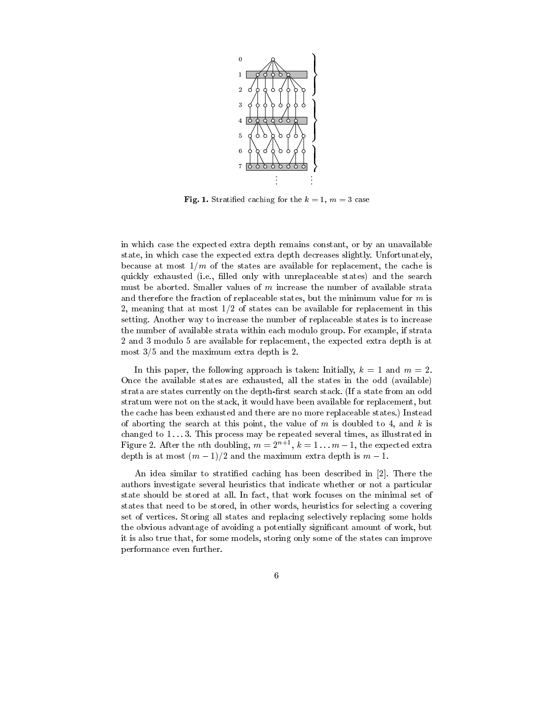

Fig. 1. Stratified caching for the  $k=1$ ,  $m=3$  case

in which case the expected extra depth remains constant, or by an unavailable state, in which case the expected extra depth decreases slightly. Unfortunately, because at most  $1/m$  of the states are available for replacement, the cache is quickly exhausted (i.e., filled only with unreplaceable states) and the search must be aborted. Smaller values of  $m$  increase the number of available strata and therefore the fraction of replaceable states, but the minimum value for  $m$  is 2, meaning that at most  $1/2$  of states can be available for replacement in this setting. Another way to increase the number of replaceable states is to increase the number of available strata within each modulo group. For example, if strata 2 and 3modulo 5 are available for replacement, the expected extra depth is at most  $3/5$  and the maximum extra depth is 2.

In this paper, the following approach is taken: Initially,  $k = 1$  and  $m = 2$ . Once the available states are exhausted, all the states in the odd (available) strata are states currently on the depth-first search stack. (If a state from an odd stratum were not on the stack, it would have been available for replacement, but the cache has been exhausted and there are no more replaceable states.) Instead of aborting the search at this point, the value of  $m$  is doubled to 4, and  $k$  is changed to  $1 \ldots 3$ . This process may be repeated several times, as illustrated in Figure 2. After the nth doubling,  $m = 2, \ldots, \kappa = 1 \ldots m - 1$ , the expected extra depth is at most  $(m-1)/2$  and the maximum extra depth is  $m-1$ .

An idea similar to stratied caching has been described in [2]. There the authors investigate several heuristics that indicate whether or not a particular state should be stored at all. In fact, that work focuses on the minimal set of states that need to be stored, in otherwords, heuristics for selecting a covering set of vertices. Storing all states and replacing selectively replacing some holds the obvious advantage of avoiding a potentially signicant amount of work, but it is also true that, for some models, storing only some of the states can improve performance even further.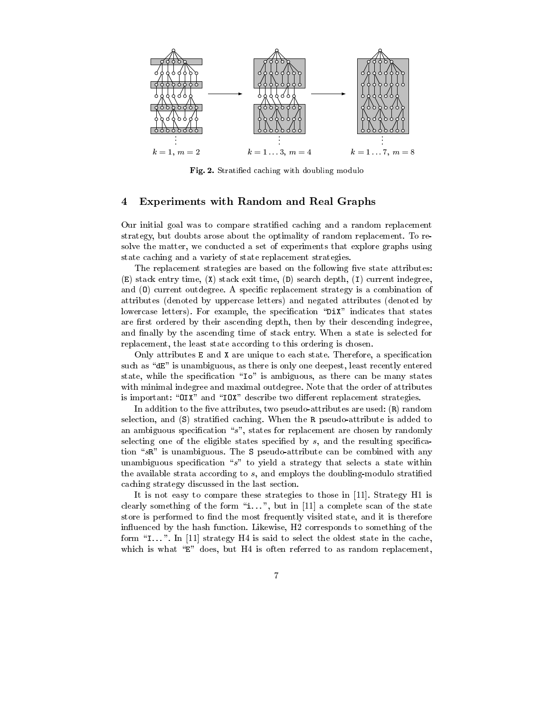

Fig. 2. Stratied caching with doubling modulo

### 4 Experiments with Random and Real Graphs

Our initial goal was to compare stratied caching and a random replacement strategy, but doubts arose about the optimality of random replacement. To resolve the matter, we conducted aset of experiments that explore graphs using state caching and avariety of state replacement strategies.

The replacement strategies are based on the following five state attributes:  $(E)$  stack entry time,  $(X)$  stack exit time,  $(D)$  search depth,  $(I)$  current indegree, and (0) current outdegree. A specific replacement strategy is a combination of attributes (denoted by uppercase letters) and negated attributes (denoted by lowercase letters). For example, the specification "DiX" indicates that states are first ordered by their ascending depth, then by their descending indegree, and finally by the ascending time of stack entry. When a state is selected for replacement, the least state according to this ordering is chosen.

Only attributes E and X are unique to each state. Therefore, a specification such as "dE" is unambiguous, as there is only one deepest, least recently entered state, while the specification "Io" is ambiguous, as there can be many states with minimal indegree and maximal outdegree. Note that the order of attributes is important: " $0IX"$  and " $10X"$  describe two different replacement strategies.

In addition to the five attributes, two pseudo-attributes are used:  $(R)$  random selection, and (S) stratified caching. When the R pseudo-attribute is added to an ambiguous specification " $s$ ", states for replacement are chosen by randomly selecting one of the eligible states specified by  $s$ , and the resulting specification " $s\mathbb{R}$ " is unambiguous. The S pseudo-attribute can be combined with any unambiguous specification " $s$ " to yield a strategy that selects a state within the available strata according to s, and employs the doubling-modulo stratied caching strategy discussed in thelast section.

It is not easy to compare these strategies to those in [11]. Strategy H1 is clearly something of the form "i...", but in [11] a complete scan of the state store is performed to find the most frequently visited state, and it is therefore in
uenced by the hash function. Likewise, H2 corresponds to something of the form  $\lceil$ ...". In [11] strategy H4 is said to select the oldest state in the cache, which is what "E" does, but H4 is often referred to as random replacement,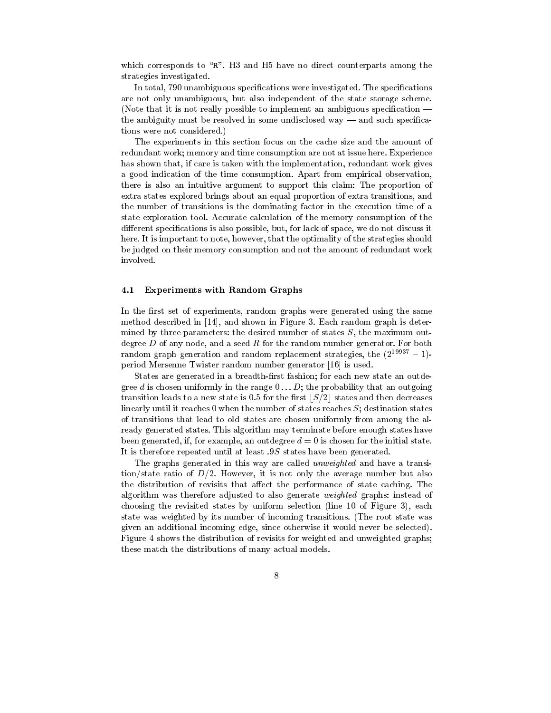which corresponds to  $\R$ . H3 and H5 have no direct counterparts among the strategies investigated.

In total, 790 unambiguous specications were investigated. The specications are not only unambiguous, but also independent of the state storage scheme. (Note that it is not really possible to implement an ambiguous specification  $$ the ambiguity must be resolved in some undisclosed way  $-$  and such specifications were not considered.)

The experiments in this section focus on the cache size and the amount of redundant work; memory and time consumption are not at issue here. Experience has shown that, if care is taken with the implementation, redundant work gives a good indication of the time consumption. Apart from empirical observation, there is also an intuitive argument to support this claim: The proportion of extra states explored brings about an equal proportion of extra transitions, and the number of transitions is the dominating factor in the execution time of a state exploration tool. Accurate calculation of the memory consumption of the different specifications is also possible, but, for lack of space, we do not discuss it here. It is important to note, however, that the optimality of the strategies should be judged on their memory consumption and not the amount of redundant work involved.

#### $4.1$ **Experiments with Random Graphs**

In the first set of experiments, random graphs were generated using the same method described in [14], and shown in Figure 3.Each random graph is determined by three parameters: the desired number of states  $S$ , the maximum outdegree D of any node, and a seed R for the random number generator. For both random graph generation and random replacement strategies, the  $(2^{19937} - 1)$ period Mersenne Twister random number generator [16] is used.

States are generated in a breadth-first fashion; for each new state an outdegree d is chosen uniformly in the range  $0 \ldots D$ ; the probability that an outgoing transition leads to a new state is 0.5 for the first  $|S/2|$  states and then decreases linearly until it reaches 0 when the number of states reaches  $S$ ; destination states of transitions that lead to old states are chosen uniformly from among the already generated states. This algorithm may terminate before enough states have been generated, if, for example, an outdegree  $d = 0$  is chosen for the initial state. It is therefore repeated until at least :9S states have been generated.

The graphs generated in this way are called *unweighted* and have a transition/state ratio of  $D/2$ . However, it is not only the average number but also the distribution of revisits that affect the performance of state caching. The algorithm was therefore adjusted to also generate weighted graphs: instead of choosing the revisited states by uniform selection (line 10 of Figure 3), each state was weighted by its number of incoming transitions. (The root state was given an additional incoming edge, since otherwise it would never be selected). Figure 4 shows the distribution of revisits for weighted and unweighted graphs; these match the distributions of many actual models.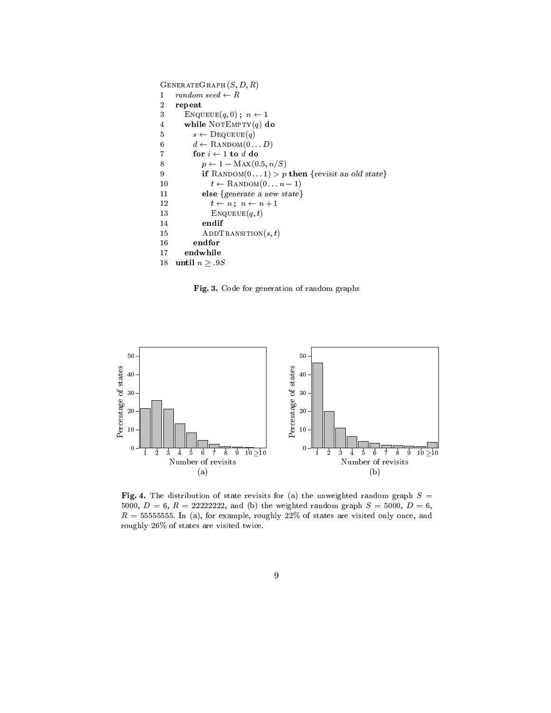| GENERATEGRAPH $(S, D, R)$                             |  |
|-------------------------------------------------------|--|
| random seed $\leftarrow R$<br>1                       |  |
| 2<br>repeat                                           |  |
| 3<br>ENQUEUE $(q,0); n \leftarrow 1$                  |  |
| while NOTEMPTY $(q)$ do<br>4                          |  |
| 5<br>$s \leftarrow \text{Dequeue}(q)$                 |  |
| 6<br>$d \leftarrow$ RANDOM $(0 \dots D)$              |  |
| for $i \leftarrow 1$ to d do<br>7                     |  |
| $p \leftarrow 1 - \text{MAX}(0.5, n/S)$<br>8          |  |
| if RANDOM $(01)$ > p then {revisit an old state}<br>9 |  |
| $t \leftarrow$ RANDOM $(0 \ldots n-1)$<br>10          |  |
| else {generate a new state}<br>11                     |  |
| 12<br>$t \leftarrow n$ ; $n \leftarrow n+1$           |  |
| 13<br>$\text{EnQUEUE}(q, t)$                          |  |
| endif<br>14                                           |  |
| 15<br>ADDTransITION(s, t)                             |  |
| endfor<br>16                                          |  |
| endwhile<br>17                                        |  |
| 18<br>until $n > 9S$                                  |  |

Fig. 3. Code for generation of random graphs



Fig. 4. The distribution of state revisits for (a) the unweighted random graph  $S =$ 5000,  $D = 6$ ,  $R = 22222222$ , and (b) the weighted random graph  $S = 5000$ ,  $D = 6$ ,  $R = 55555555$ . In (a), for example, roughly  $22\%$  of states are visited only once, and roughly 26% of states are visited twice.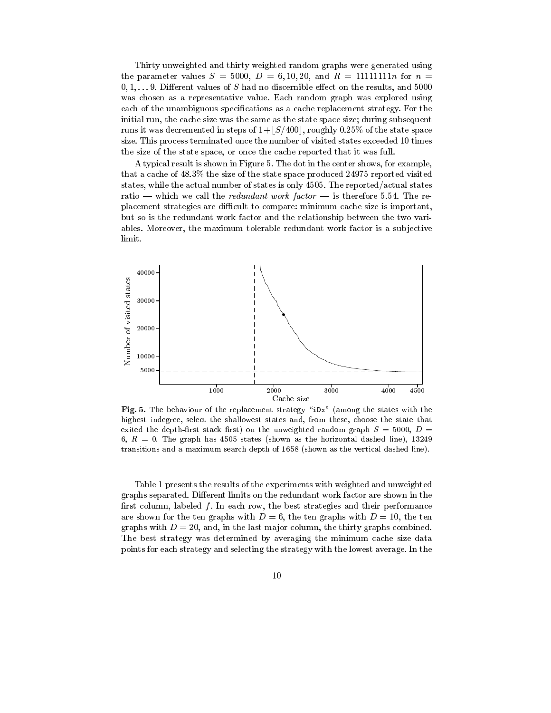Thirty unweighted and thirty weighted random graphs were generated using the parameter values  $S = 5000, D = 6, 10, 20, \text{ and } R = 11111111n$  for  $n =$  $0, 1, \ldots$ . 9. Different values of S had no discernible effect on the results, and 5000 was chosen as a representative value. Each random graph was explored using each of the unambiguous specifications as a cache replacement strategy. For the initial run, the cache size was the same as the state space size; during subsequent runs it was decremented in steps of  $1+|S/400|$ , roughly 0.25% of the state space size. This process terminated once the number of visited states exceeded 10 times the size of the state space, or once the cache reported that it was full.

A typical result is shown in Figure 5. The dot in the center shows, for example, that a cache of 48.3% the size of the state space produced 24975 reported visited states, while the actual number of states is only 4505. The reported/actual states ratio — which we call the *redundant work factor* — is therefore 5.54. The replacement strategies are difficult to compare: minimum cache size is important, but so is the redundant work factor and the relationship between the two variables. Moreover, the maximum tolerable redundant work factor is a sub jective limit.



Fig. 5. The behaviour of the replacement strategy "iDx" (among the states with the highest indegree, select the shallowest states and, from these, choose the state that exited the depth-first stack first) on the unweighted random graph  $S = 5000, D =$ 6,  $R = 0$ . The graph has 4505 states (shown as the horizontal dashed line), 13249 transitions and amaximum search depth of 1658 (shown as the vertical dashed line).

Table 1 presents the results of the experiments with weighted and unweighted graphs separated. Different limits on the redundant work factor are shown in the first column, labeled  $f$ . In each row, the best strategies and their performance are shown for the ten graphs with  $D = 6$ , the ten graphs with  $D = 10$ , the ten graphs with  $D = 20$ , and, in the last major column, the thirty graphs combined. The best strategy was determined by averaging the minimum cache size data points for each strategy and selecting the strategy with the lowest average. In the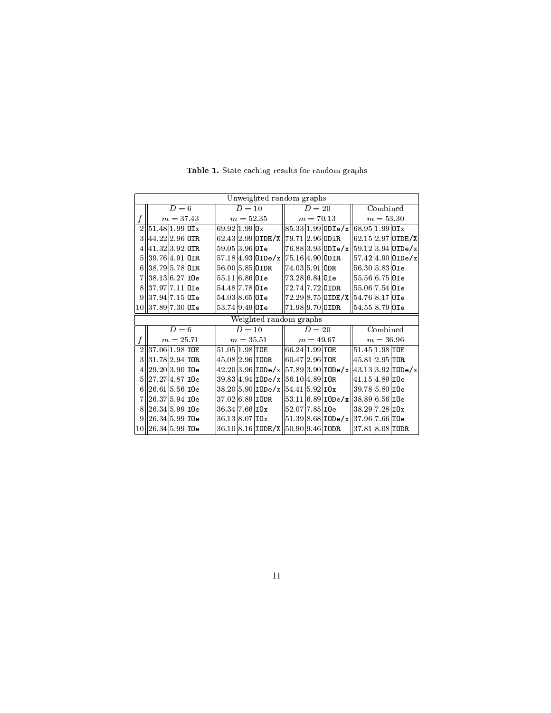|                                         | Unweighted random graphs                                    |                                                                                          |                     |
|-----------------------------------------|-------------------------------------------------------------|------------------------------------------------------------------------------------------|---------------------|
| $D=6$                                   | $D=10$                                                      | $D=20$                                                                                   | Combined            |
| $m = 37.43$                             | $m = 52.35$                                                 | $m = 70.13$                                                                              | $m = 53.30$         |
| $2$   51.48 1.99 01x                    | 69.921.990x                                                 | $ 85.33 1.99 0$ DIe/x $  68.95 1.99 01x$                                                 |                     |
| 3  44.22 2.96 0IR                       | 62.43 2.99 01DE/X  79.71 2.96 0DiR                          |                                                                                          | 62.15 2.97 01DE/X   |
| 4 4 4 1 3 2 3 3 9 2 1 0 1 R             | 59.05 3.96 <b>D</b> Ie                                      | $\frac{1}{26.88}$ 3.93 $\frac{1}{2}$ DDIe/x $\frac{1}{2}$ 59.12 $\frac{1}{3.94}$  0IDe/x |                     |
| 5  39.76 4.91 0IR                       | $57.18 4.93 0$ IDe/x $  75.16 4.90 0$ D IR                  |                                                                                          | 57.42  4.90  0IDe/x |
| 6  38.79 5.78 0IR                       | 56.00 5.85 0 IDR                                            | 1174.0315.9110DR                                                                         | 56.30 5.83 0Ie      |
| 7  38.13 6.27 I0e                       | 55.11 6.86 01e                                              | 73.28 6.84 OIe                                                                           | 55.56  6.75  01e    |
| 8 37.97 7.11 0 I e                      | 54.487.780Ie                                                | 72.74 7.72 OIDR                                                                          | 55.06 7.54 0Ie      |
| 9  37.94 7.15 0Ie                       | 54.03 8.65 01e                                              | 72.29 8.75 0IDE/X  54.76 8.17 0Ie                                                        |                     |
| $10$   37.89 7.30 01e                   | 53.749.490Ie                                                | 71.98 9.70  OIDR                                                                         | 54.55 8.79 0Ie      |
|                                         | Weighted random graphs                                      |                                                                                          |                     |
|                                         |                                                             |                                                                                          |                     |
| $D=6$                                   | $D=10$                                                      | $D=20$                                                                                   | Combined            |
| $m = 25.71$                             | $m = 35.51$                                                 | $m = 49.67$                                                                              | $m = 36.96$         |
| $2  37.06 1.98 $ IOE                    | 51.05 1.98 I OE                                             | 166.2411.99110E                                                                          | $ 51.45 1.98 $ IOE  |
| $3  31.78 2.94 $ IOR                    | 45.082.9610DR                                               | 160.4712.96110E                                                                          | $ 45.81 2.95 $ JOR  |
| 4  29.20 3.90 10e                       |                                                             | $42.20 3.96 $ IODe/x $  57.89 3.90 $ IODe/x $  43.13 3.92 $ IODe/x                       |                     |
| 5  27.27 4.87 10e                       | 39.83 4.94 10De/x  56.10 4.89 10R                           |                                                                                          | 41.15 4.89 IOe      |
| $6  26.61 5.56 $ I0e                    | 38.20 5.90 10De/x  54.41 5.92 10x                           |                                                                                          | $ 39.78 5.80 $ I0e  |
| 7  26.37 5.94 IDe                       | 37.02 6.89 10DR                                             | $\left  53.11 \right  6.89$ [IODe/x] 38.89 6.56 [IOe                                     |                     |
| 8  26.34 5.99 10e                       | $36.34$ 7.66 $10x$                                          | 52.07  7.85  10e                                                                         | 138.2917.28110x     |
| 9  26.34 5.99 10e<br>10  26.34 5.99 I0e | 36.13 8.07 10x<br>$36.10[8.16]$ IODE/X $  50.90 9.46 $ IODR | $\left  51.39 \right  8.68$ IODe/x $\left  37.96 \right  7.66$ IOe                       |                     |

Table 1. State caching results for random graphs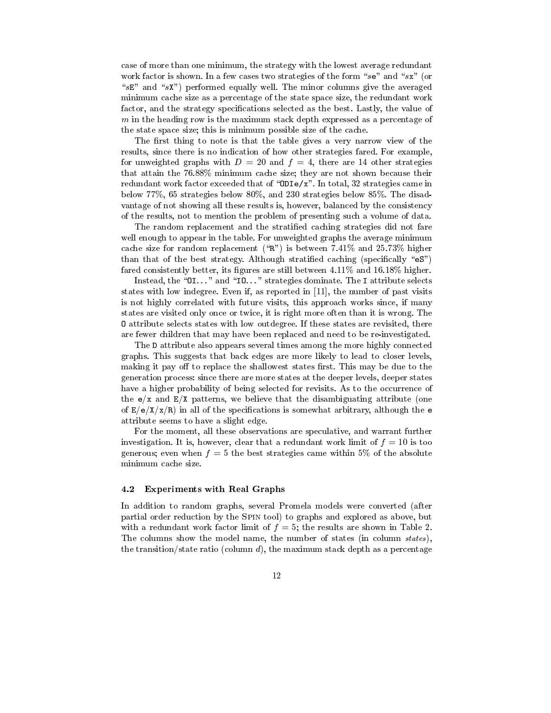case of more than one minimum, the strategy with thelowest average redundant work factor is shown. In a few cases two strategies of the form "se" and "sx" (or " $sE$ " and " $sX$ ") performed equally well. The minor columns give the averaged minimum cache size as a percentage of the state space size, the redundant work factor, and the strategy specifications selected as the best. Lastly, the value of  $m$  in the heading row is the maximum stack depth expressed as a percentage of the state space size; this is minimum possible size of the cache.

The first thing to note is that the table gives a very narrow view of the results, since there is no indication of how other strategies fared. For example, for unweighted graphs with  $D = 20$  and  $f = 4$ , there are 14 other strategies that attain the 76:88% minimum cache size; they are not shown because their redundant work factor exceeded that of " $ODIe/x$ ". In total, 32 strategies came in below 77%, 65 strategies below 80%, and 230 strategies below 85%. The disad vantage of not showing all these results is, however, balanced by the consistency of the results, not to mention the problem of presenting such avolume of data.

The random replacement and the stratied caching strategies did not fare well enough to appear in the table. For unweighted graphs the average minimum cache size for random replacement ( $\R$ ") is between 7.41% and 25.73% higher than that of the best strategy. Although stratified caching (specifically " $eS$ ") fared consistently better, its figures are still between  $4.11\%$  and  $16.18\%$  higher.

Instead, the "0I..." and "IO..." strategies dominate. The I attribute selects states with low indegree. Even if, as reported in [11], the number of past visits is not highly correlated with future visits, this approach works since, if many states are visited only once or twice, it is right more often than it is wrong. The <sup>O</sup> attribute selects states with low outdegree. If these states are revisited, there are fewer children that may have been replaced and need to be re-investigated.

The <sup>D</sup> attribute also appears several times among the more highly connected graphs. This suggests that back edges are more likely to lead to closer levels, making it pay off to replace the shallowest states first. This may be due to the generation process: since there are more states at the deeper levels, deeper states have a higher probability of being selected for revisits. As to the occurrence of the  $e/x$  and  $E/X$  patterns, we believe that the disambiguating attribute (one of  $E/e/X/x/R$ ) in all of the specifications is somewhat arbitrary, although the e attribute seems to have a slight edge.

For the moment, all these observations are speculative, and warrant further investigation. It is, however, clear that a redundant work limit of  $f = 10$  is too generous; even when  $f = 5$  the best strategies came within 5% of the absolute minimum cache size.

#### 4.2 Experiments with Real Graphs

In addition to random graphs, several Promela models were converted (after partial order reduction by the SPIN tool) to graphs and explored as above, but with a redundant work factor limit of  $f = 5$ ; the results are shown in Table 2. The columns show the model name, the number of states (in column states), the transition/state ratio (column  $d$ ), the maximum stack depth as a percentage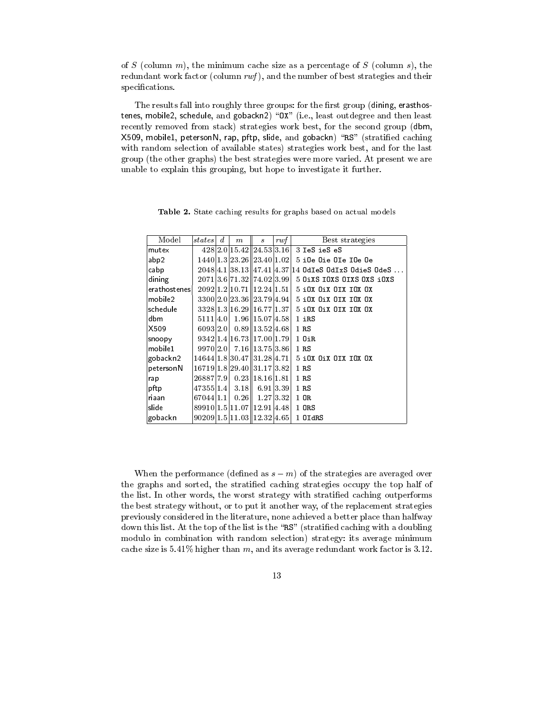of S (column m), the minimum cache size as a percentage of S (column s), the redundant work factor (column  $rwf$ ), and the number of best strategies and their specifications.

The results fall into roughly three groups: for the first group (dining, erasthostenes, mobile2, schedule, and gobackn2) " $0X$ " (i.e., least outdegree and then least recently removed from stack) strategies work best, for the second group (dbm, X509, mobile1, petersonN, rap, pftp, slide, and gobackn) "RS" (stratified caching with random selection of available states) strategies work best, and for the last group (the other graphs) the best strategies were more varied. At present we are unable to explain this grouping, but hope to investigate it further.

| Model             | states                     | d. | $\,m$  | $\boldsymbol{s}$            | rwf | Best strategies                                       |
|-------------------|----------------------------|----|--------|-----------------------------|-----|-------------------------------------------------------|
| mutex             |                            |    |        |                             |     | 428 2.0 15.42 24.53 3.16 3 IeS ieS eS                 |
| abp2              |                            |    |        | 14401.323.26123.401.021     |     | 5 iOe Oie OIe IOe Oe                                  |
| cabp              |                            |    |        |                             |     | $204814.1138.13147.4114.37114$ OdIeS OdIxS OdieS OdeS |
| dining            |                            |    |        | 207113.6171.321174.0213.991 |     | 5 OiXS IOXS OIXS OXS iOXS                             |
| erathostenes      |                            |    |        | 20921.210.71112.241.51      |     | 5 iOX OiX OIX IOX OX                                  |
| $ {\sf mobile2} $ |                            |    |        | 330012.0123.361123.7914.941 |     | 5 iOX OiX OIX IOX OX                                  |
| schedule          |                            |    |        | 33281.3116.29116.7711.371   |     | 5 iOX OiX OIX IOX OX                                  |
| dbm               |                            |    |        | 511114.0 1.96 15.07 4.58    |     | $1$ iRS                                               |
| X509              |                            |    |        | 6093 2.0 0.89 13.52 4.68    |     | 1 <sub>RS</sub>                                       |
| snoopy            |                            |    |        | 93421.4116.73117.0011.791   |     | $10$ i $R$                                            |
| mobile1           |                            |    |        | 997012.01 7.16113.7513.861  |     | 1 <sub>RS</sub>                                       |
| gobackn2          |                            |    |        | 14644 1.8 30.47 31.28 4.71  |     | 5 iOX OiX OIX IOX OX                                  |
| petersonN         |                            |    |        | 16719 1.8 29.40 31.17 3.82  |     | 1 <sub>RS</sub>                                       |
| rap               | 2688717.91                 |    |        | $0.23$   18.16 1.81         |     | 1 RS                                                  |
| pftp              | 47355[1.4]                 |    | 3.18II | 6.91 3.39                   |     | 1 <sub>RS</sub>                                       |
| riaan             | 6704411.11                 |    | 0.261  | 1.27 3.32                   |     | 1 OR                                                  |
| slide             | 899101.5111.07112.9114.48  |    |        |                             |     | 1 ORS                                                 |
| gobackn           | 90209 1.5 11.03 12.32 4.65 |    |        |                             |     | 10IdRS                                                |

Table 2. State caching results for graphs based on actual models

When the performance (defined as  $s - m$ ) of the strategies are averaged over the graphs and sorted, the stratied caching strategies occupy the top half of the list. In other words, the worst strategy with stratied caching outperforms the best strategy without, or to put it another way, of the replacement strategies previously considered in the literature, none achieved a better place than halfway down this list. At the top of the list is the "RS" (stratified caching with a doubling modulo in combination with random selection) strategy: its average minimum cache size is  $5.41\%$  higher than  $m$ , and its average redundant work factor is 3.12.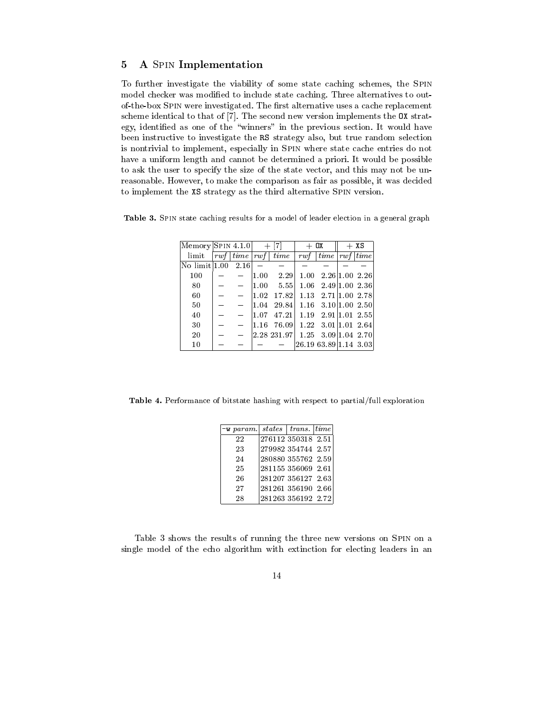# 5 A Spin Implementation

To further investigate the viability of some state caching schemes, the Spin model checker was modified to include state caching. Three alternatives to outof-the-box SPIN were investigated. The first alternative uses a cache replacement scheme identical to that of [7]. The second new version implements the OX strategy, identified as one of the "winners" in the previous section. It would have been instructive to investigate the RS strategy also, but true random selection is nontrivial to implement, especially in Spin where state cache entries do not have a uniform length and cannot be determined a priori. It would be possible to ask the user to specify the size of the state vector, and this may not be un-reasonable. However, to make the comparison as fair as possible, it was decided to implement the XS strategy as the third alternative Spin version.

Table 3. SPIN state caching results for a model of leader election in a general graph

| Memory SPIN 4.1.0 |                      | $\pm$ | [7]                               | $+0X$                 |                     | $+ XS$         |
|-------------------|----------------------|-------|-----------------------------------|-----------------------|---------------------|----------------|
| limit             | $ rwf $ time $ rwf $ |       | time                              | rwt                   | time                | rwf   time     |
| No limit 1.00     | 2.16                 |       |                                   |                       |                     |                |
| 100               |                      | 1.00  | 2.29                              |                       | 1.00 2.26 1.00 2.26 |                |
| 80                |                      | 1.00  | 5.55                              |                       | 1.06 2.49 1.00 2.36 |                |
| 60                |                      | 1.02  | 17.82                             | 1.13                  |                     | 2.7111.00 2.78 |
| 50                |                      | 1.04  | 29.84 1.16 3.10 1.00 2.50         |                       |                     |                |
| 40                |                      | 1.07  | 47.21                             |                       | 1.19 2.91 1.01 2.55 |                |
| 30                |                      |       | $1.16$ 76.09 $1.22$               |                       |                     | 3.011.01 2.64  |
| 20                |                      |       | 2.28 231.97  1.25 3.09  1.04 2.70 |                       |                     |                |
| 10                |                      |       |                                   | 26.19 63.89 1.14 3.03 |                     |                |

Table 4. Performance of bitstate hashing with respect to partial/full exploration

| w param. | states   trans. ltime |  |
|----------|-----------------------|--|
| 22       | 276112 350318 2.51    |  |
| 23       | 279982-354744-2.57    |  |
| 24       | 280880 355762 2.59    |  |
| 25       | 281155 356069 2.61    |  |
| 26       | 281207 356127 2.63    |  |
| 27       | 281261 356190 2.66    |  |
| 28       | 281263 356192 2.72    |  |

Table 3 shows the results of running the three new versions on Spin on a single model of the echo algorithm with extinction for electing leaders in an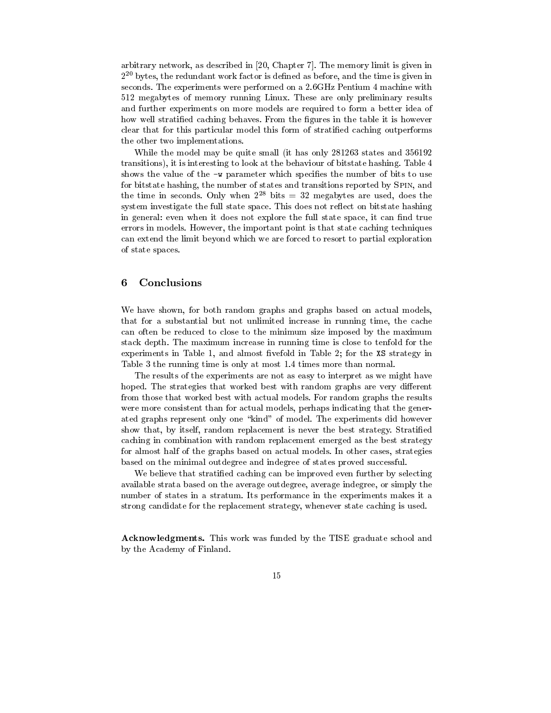arbitrary network, as described in [20, Chapter 7]. The memory limit is given in  $2^{20}$  bytes, the redundant work factor is defined as before, and the time is given in seconds. The experiments were performed on a2.6GHz Pentium 4 machine with 512 megabytes of memory running Linux. These are only preliminary results and further experiments on more models are required to form a better idea of how well stratified caching behaves. From the figures in the table it is however clear that for this particular model this form of stratied caching outperforms the other two implementations.

While the model may be quite small (it has only 281263 states and 356192) transitions), it is interesting to look at the behaviour of bitstate hashing. Table 4 shows the value of the  $-w$  parameter which specifies the number of bits to use for bitstate hashing, the number of states and transitions reported by Spin, and the time in seconds. Only when  $2^{28}$  bits = 32 megabytes are used, does the system investigate the full state space. This does not reflect on bitstate hashing in general: even when it does not explore the full state space, it can find true errors in models. However, the important point is that state caching techniques can extend the limit beyond which we are forced to resort to partial exploration of state spaces.

#### **Conclusions** 6

We have shown, for both random graphs and graphs based on actual models, that for a substantial but not unlimited increase in running time, the cache can often be reduced to close to the minimum size imposed by the maximum stack depth. The maximum increase in running time is close to tenfold for the experiments in Table 1, and almost fivefold in Table 2; for the XS strategy in Table 3 the running time is only at most 1:4 times more than normal.

The results of the experiments are not as easy to interpret as we might have hoped. The strategies that worked best with random graphs are very different from those that worked best with actual models. For random graphs the results were more consistent than for actual models, perhaps indicating that the generated graphs represent only one "kind" of model. The experiments did however show that, by itself, random replacement is never the best strategy. Stratied caching in combination with random replacement emerged as the best strategy for almost half of the graphs based on actual models. In other cases, strategies based on the minimal outdegree and indegree of states proved successful.

We believe that stratied caching can be improved even further by selecting available strata based on the average outdegree, average indegree, or simply the number of states in a stratum. Its performance in the experiments makes it a strong candidate for the replacement strategy, whenever state caching is used.

Acknowledgments. This work was funded by the TISE graduate school and by the Academy of Finland.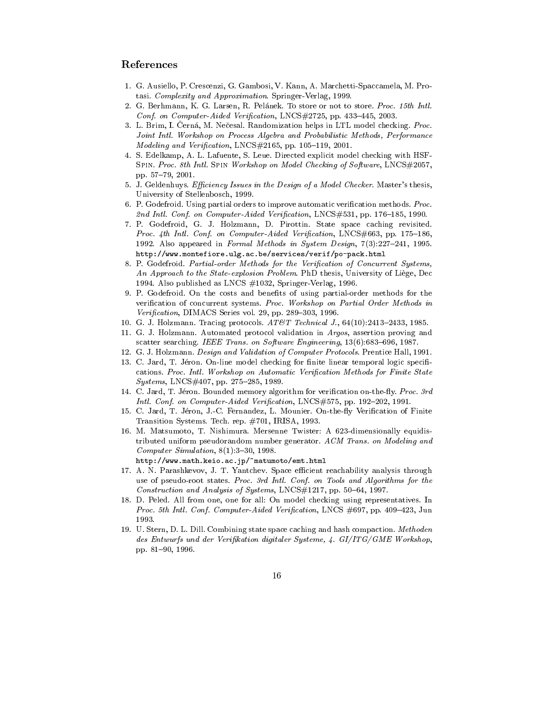## References

- 1. G. Ausiello, P. Crescenzi, G. Gambosi, V. Kann, A. Marchetti-Spaccamela, M. Protasi. Complexity and Approximation. Springer-Verlag, 1999.
- 2. G. Berhmann, K. G. Larsen, R. Pelanek. To store or not to store. Proc. 15th Intl. Conf. on Computer-Aided Verification,  $LNCS#2725$ , pp. 433-445, 2003.
- 3. L. Brim, I. Černá, M. Nečesal. Randomization helps in LTL model checking. *Proc.* Joint Intl. Workshop on Process Algebra and Probabilistic Methods, Performance  $Modeling and Verification, LNCS \#2165, pp. 105–119, 2001.$
- 4. S. Edelkamp, A. L. Lafuente, S. Leue. Directed explicit model checking with HSF-Spin. Proc. 8th Intl. Spin Workshop on Model Checking of Software, LNCS#2057, pp. 57-79, 2001.
- 5. J. Geldenhuys. Efficiency Issues in the Design of a Model Checker. Master's thesis. University of Stellenbosch, 1999.
- 6. P. Godefroid. Using partial orders to improve automatic verication methods. Proc. 2nd Intl. Conf. on Computer-Aided Verification,  $LNCS#531$ , pp. 176-185, 1990.
- 7. P. Godefroid, G. J. Holzmann, D. Pirottin. State space caching revisited. Proc. 4th Intl. Conf. on Computer-Aided Verification,  $LNCS\#663$ , pp. 175-186, 1992. Also appeared in Formal Methods in System Design,  $7(3):227{-}241$ , 1995. http://www.montefiore.ulg.ac.be/services/verif/po-pack.html
- 8. P. Godefroid. Partial-order Methods for the Verification of Concurrent Systems, An Approach to the State-explosion Problem. PhD thesis, University of Liege, Dec 1994. Also published as LNCS #1032, Springer-Verlag, 1996.
- 9. P. Godefroid. On the costs and benets of using partial-order methods for the verification of concurrent systems. Proc. Workshop on Partial Order Methods in Verification, DIMACS Series vol. 29, pp. 289-303, 1996.
- 10. G. J. Holzmann. Tracing protocols.  $ATBT$  Technical J.,  $64(10):2413-2433$ , 1985.
- 11. G. J. Holzmann. Automated protocol validation in Argos, assertion proving and scatter searching. IEEE Trans. on Software Engineering, 13(6):683-696, 1987.
- 12. G. J. Holzmann. Design and Validation of Computer Protocols. Prentice Hall, 1991.
- 13. C. Jard, T. Jéron. On-line model checking for finite linear temporal logic specifications. Proc. Intl. Workshop on Automatic Verification Methods for Finite State Systems, LNCS#407, pp. 275-285, 1989.
- 14. C. Jard, T. Jéron. Bounded memory algorithm for verification on-the-fly. Proc. 3rd Intl. Conf. on Computer-Aided Verification, LNCS#575, pp. 192-202, 1991.
- 15. C. Jard, T. Jéron, J.-C. Fernandez, L. Mounier. On-the-fly Verification of Finite Transition Systems. Tech. rep. #701, IRISA, 1993.
- 16. M. Matsumoto, T. Nishimura. Mersenne Twister: A 623-dimensionally equidistributed uniform pseudorandom number generator. ACM Trans. on Modeling and Computer Simulation,  $8(1):3-30$ , 1998.

http://www.math.keio.ac.jp/~matumoto/emt.html

- 17. A. N. Parashkevov, J. T. Yantchev. Space efficient reachability analysis through use of pseudo-root states. Proc. 3rd Intl. Conf. on Tools and Algorithms for the Construction and Analysis of Systems, LNCS#1217, pp. 50-64, 1997.
- 18. D. Peled. All from one, one for all:On model checking using representatives. In Proc. 5th Intl. Conf. Computer-Aided Verification, LNCS  $\#697$ , pp. 409-423, Jun 1993.
- 19. U. Stern, D. L. Dill. Combining state space caching and hash compaction. Methoden des Entwurfs und der Verikation digitaler Systeme, 4. GI/ITG/GME Workshop, pp. 81-90, 1996.